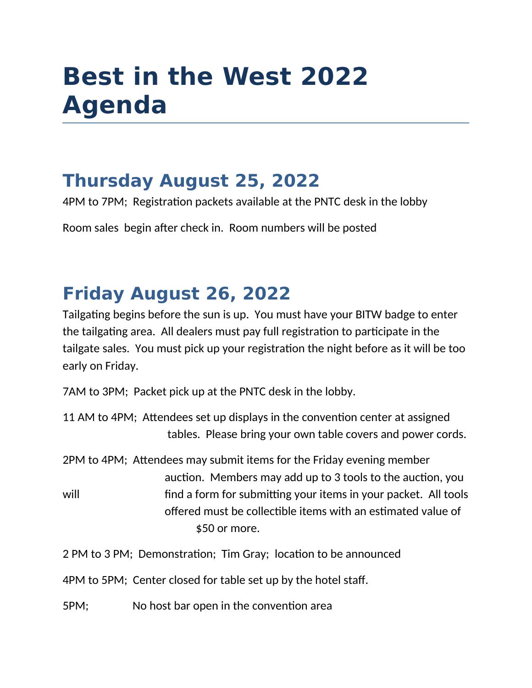# **Best in the West 2022 Agenda**

#### **Thursday August 25, 2022**

4PM to 7PM; Registration packets available at the PNTC desk in the lobby

Room sales begin after check in. Room numbers will be posted

## **Friday August 26, 2022**

Tailgating begins before the sun is up. You must have your BITW badge to enter the tailgating area. All dealers must pay full registration to participate in the tailgate sales. You must pick up your registration the night before as it will be too early on Friday.

7AM to 3PM; Packet pick up at the PNTC desk in the lobby.

|  | 11 AM to 4PM; Attendees set up displays in the convention center at assigned |  |  |
|--|------------------------------------------------------------------------------|--|--|
|  | tables. Please bring your own table covers and power cords.                  |  |  |

2PM to 4PM; Attendees may submit items for the Friday evening member auction. Members may add up to 3 tools to the auction, you will will find a form for submitting your items in your packet. All tools offered must be collectible items with an estimated value of \$50 or more.

2 PM to 3 PM; Demonstration; Tim Gray; location to be announced

4PM to 5PM; Center closed for table set up by the hotel staff.

5PM; No host bar open in the convention area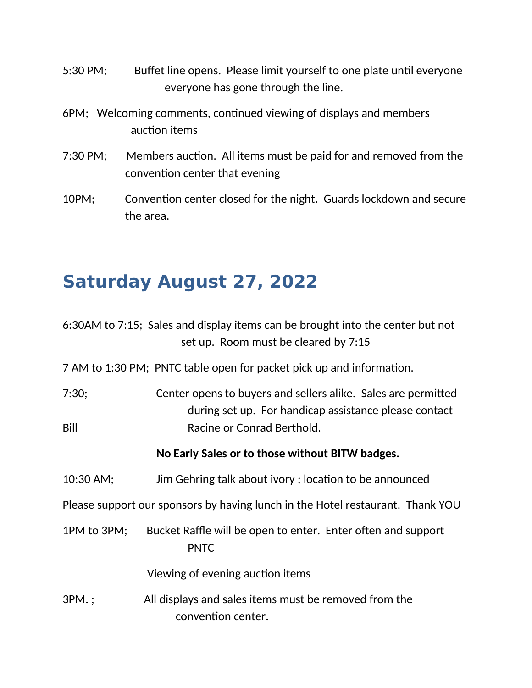- 5:30 PM; Buffet line opens. Please limit yourself to one plate until everyone everyone has gone through the line.
- 6PM; Welcoming comments, continued viewing of displays and members auction items
- 7:30 PM; Members auction. All items must be paid for and removed from the convention center that evening
- 10PM; Convention center closed for the night. Guards lockdown and secure the area.

#### **Saturday August 27, 2022**

|             | 6:30AM to 7:15; Sales and display items can be brought into the center but not<br>set up. Room must be cleared by 7:15 |
|-------------|------------------------------------------------------------------------------------------------------------------------|
|             | 7 AM to 1:30 PM; PNTC table open for packet pick up and information.                                                   |
| 7:30;       | Center opens to buyers and sellers alike. Sales are permitted<br>during set up. For handicap assistance please contact |
| Bill        | Racine or Conrad Berthold.                                                                                             |
|             | No Early Sales or to those without BITW badges.                                                                        |
| 10:30 AM;   | Jim Gehring talk about ivory; location to be announced                                                                 |
|             | Please support our sponsors by having lunch in the Hotel restaurant. Thank YOU                                         |
| 1PM to 3PM; | Bucket Raffle will be open to enter. Enter often and support<br><b>PNTC</b>                                            |
|             | Viewing of evening auction items                                                                                       |
| 3PM.;       | All displays and sales items must be removed from the<br>convention center.                                            |